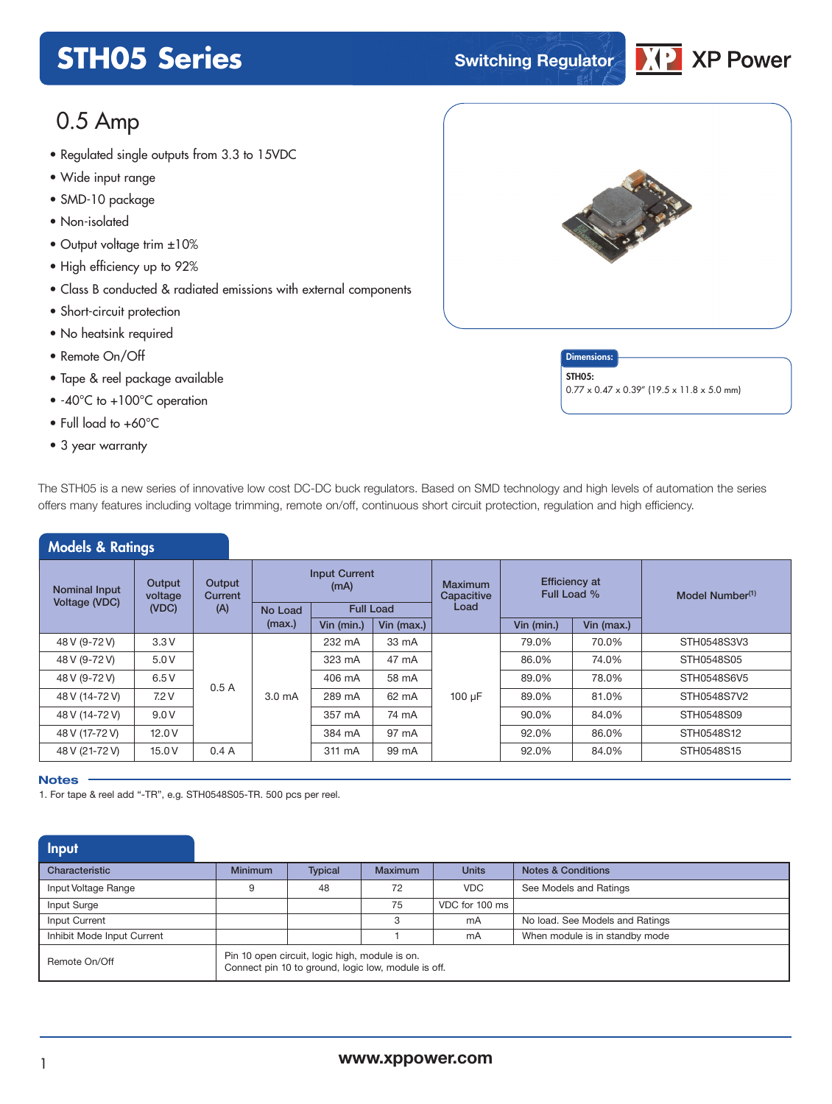## **STH05 Series Switching Regulator**



### 0.5 Amp

- Regulated single outputs from 3.3 to 1*5*VDC<br>• Wide input range
- Wide input range
- SMD-10 package
- Non-isolated
- Output voltage trim ±10%
- High efficiency up to 92%
- Class B conducted & radiated emissions with external components
- Short-circuit protection
- No heatsink required
- Remote On/Off
- Tape & reel package available
- -40°C to +100°C operation
- Full load to +60°C
- 3 year warranty



**Dimensions** STH<sub>05</sub>: 0.77 x 0.47 x 0.39" (19.5 x 11.8 x 5.0 mm)

| The STH05 is a new series of innovative low cost DC-DC buck regulators. Based on SMD technology and high levels of automation the series |
|------------------------------------------------------------------------------------------------------------------------------------------|
| offers many features including voltage trimming, remote on/off, continuous short circuit protection, regulation and high efficiency.     |

| <b>Models &amp; Ratings</b>           |                            |                   |                   |                                                  |            |                                      |                                     |            |                             |  |  |  |                   |        |       |        |       |       |             |
|---------------------------------------|----------------------------|-------------------|-------------------|--------------------------------------------------|------------|--------------------------------------|-------------------------------------|------------|-----------------------------|--|--|--|-------------------|--------|-------|--------|-------|-------|-------------|
| <b>Nominal Input</b><br>Voltage (VDC) | Output<br>voltage<br>(VDC) | Output<br>Current |                   | <b>Input Current</b><br>(mA)<br><b>Full Load</b> |            | <b>Maximum</b><br>Capacitive<br>Load | <b>Efficiency at</b><br>Full Load % |            | Model Number <sup>(1)</sup> |  |  |  |                   |        |       |        |       |       |             |
|                                       |                            | (A)               | No Load<br>(max.) | Vin (min.)                                       | Vin (max.) |                                      | Vin (min.)                          | Vin (max.) |                             |  |  |  |                   |        |       |        |       |       |             |
|                                       |                            |                   |                   |                                                  |            |                                      |                                     |            |                             |  |  |  |                   |        |       |        |       |       |             |
| 48 V (9-72 V)                         | 3.3V                       |                   |                   | 232 mA                                           | 33 mA      |                                      | 79.0%                               | 70.0%      | STH0548S3V3                 |  |  |  |                   |        |       |        |       |       |             |
| 48 V (9-72 V)                         | 5.0 V                      |                   |                   | 323 mA                                           | 47 mA      |                                      | 86.0%                               | 74.0%      | STH0548S05                  |  |  |  |                   |        |       |        |       |       |             |
| 48 V (9-72 V)                         | 6.5 V                      | 0.5A              |                   | 406 mA                                           | 58 mA      |                                      | 89.0%                               | 78.0%      | STH0548S6V5                 |  |  |  |                   |        |       |        |       |       |             |
| 48 V (14-72 V)                        | 7.2V                       |                   |                   |                                                  |            |                                      |                                     |            |                             |  |  |  | 3.0 <sub>mA</sub> | 289 mA | 62 mA | 100 µF | 89.0% | 81.0% | STH0548S7V2 |
| 48 V (14-72 V)                        | 9.0V                       |                   |                   | 357 mA                                           | 74 mA      |                                      | 90.0%                               | 84.0%      | STH0548S09                  |  |  |  |                   |        |       |        |       |       |             |
| 48 V (17-72 V)                        | 12.0V                      |                   |                   | 384 mA                                           | 97 mA      |                                      | 92.0%                               | 86.0%      | STH0548S12                  |  |  |  |                   |        |       |        |       |       |             |
| 48 V (21-72 V)                        | 15.0 V                     | 0.4A              |                   | 311 mA                                           | 99 mA      |                                      | 92.0%                               | 84.0%      | STH0548S15                  |  |  |  |                   |        |       |        |       |       |             |

#### **Notes**

1. For tape & reel add "-TR", e.g. STH0548S05-TR. 500 pcs per reel.

| Input                      |                                                                                                       |                |         |                |                                 |
|----------------------------|-------------------------------------------------------------------------------------------------------|----------------|---------|----------------|---------------------------------|
| Characteristic             | <b>Minimum</b>                                                                                        | <b>Typical</b> | Maximum | <b>Units</b>   | <b>Notes &amp; Conditions</b>   |
| Input Voltage Range        | 9                                                                                                     | 48             | 72      | <b>VDC</b>     | See Models and Ratings          |
| Input Surge                |                                                                                                       |                | 75      | VDC for 100 ms |                                 |
| Input Current              |                                                                                                       |                | З       | mA             | No load. See Models and Ratings |
| Inhibit Mode Input Current |                                                                                                       |                |         | mA             | When module is in standby mode  |
| Remote On/Off              | Pin 10 open circuit, logic high, module is on.<br>Connect pin 10 to ground, logic low, module is off. |                |         |                |                                 |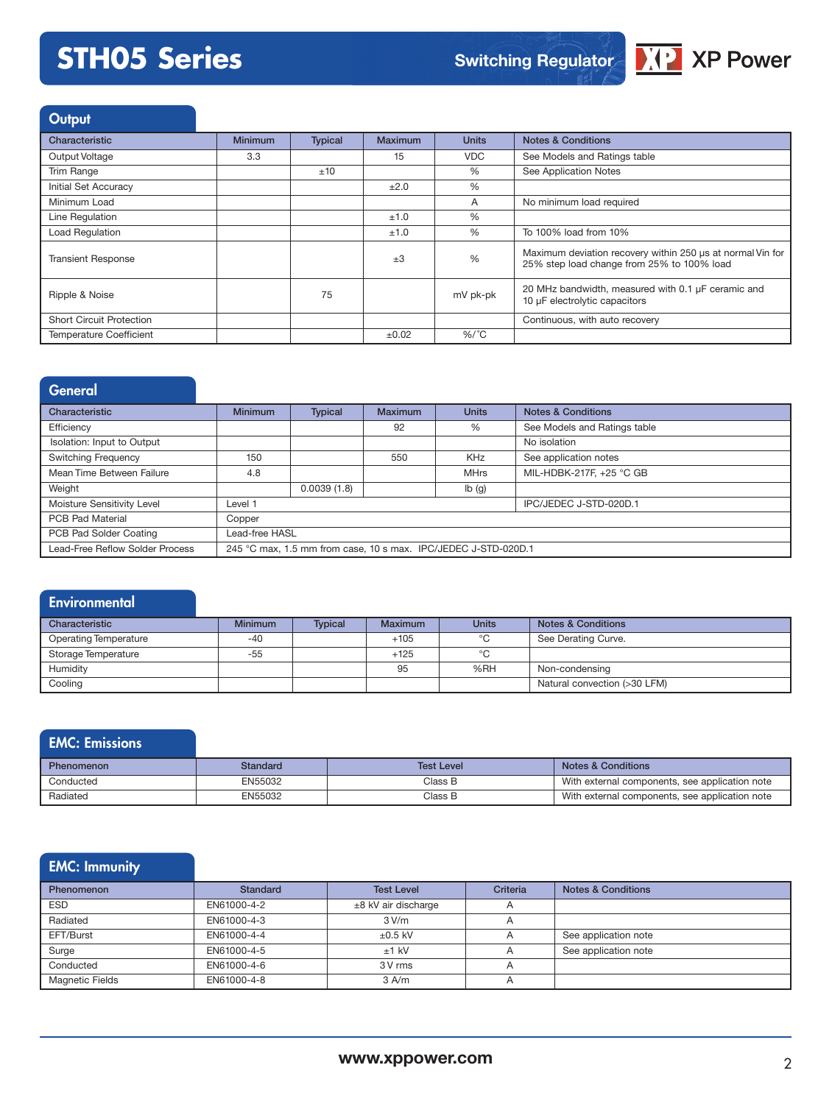

### **Output**

| Characteristic                  | <b>Minimum</b> | <b>Typical</b> | <b>Maximum</b> | <b>Units</b> | <b>Notes &amp; Conditions</b>                                                                            |
|---------------------------------|----------------|----------------|----------------|--------------|----------------------------------------------------------------------------------------------------------|
| Output Voltage                  | 3.3            |                | 15             | <b>VDC</b>   | See Models and Ratings table                                                                             |
| Trim Range                      |                | ±10            |                | $\%$         | See Application Notes                                                                                    |
| <b>Initial Set Accuracy</b>     |                |                | ±2.0           | $\%$         |                                                                                                          |
| Minimum Load                    |                |                |                | A            | No minimum load required                                                                                 |
| Line Regulation                 |                |                | ±1.0           | $\%$         |                                                                                                          |
| Load Regulation                 |                |                | ±1.0           | $\%$         | To 100% load from 10%                                                                                    |
| <b>Transient Response</b>       |                |                | $\pm 3$        | %            | Maximum deviation recovery within 250 us at normal Vin for<br>25% step load change from 25% to 100% load |
| Ripple & Noise                  |                | 75             |                | mV pk-pk     | 20 MHz bandwidth, measured with 0.1 µF ceramic and<br>10 µF electrolytic capacitors                      |
| <b>Short Circuit Protection</b> |                |                |                |              | Continuous, with auto recovery                                                                           |
| <b>Temperature Coefficient</b>  |                |                | ±0.02          | $%$ /°C      |                                                                                                          |

| <b>General</b>                  |                |                        |                |                                                                |                               |  |  |
|---------------------------------|----------------|------------------------|----------------|----------------------------------------------------------------|-------------------------------|--|--|
| Characteristic                  | <b>Minimum</b> | <b>Typical</b>         | <b>Maximum</b> | <b>Units</b>                                                   | <b>Notes &amp; Conditions</b> |  |  |
| Efficiency                      |                |                        | 92             | %                                                              | See Models and Ratings table  |  |  |
| Isolation: Input to Output      |                |                        |                |                                                                | No isolation                  |  |  |
| <b>Switching Frequency</b>      | 150            |                        | 550            | KHz                                                            | See application notes         |  |  |
| Mean Time Between Failure       | 4.8            |                        |                | <b>MHrs</b>                                                    | MIL-HDBK-217F, +25 °C GB      |  |  |
| Weight                          |                | 0.0039(1.8)            |                | Ib(g)                                                          |                               |  |  |
| Moisture Sensitivity Level      | Level 1        | IPC/JEDEC J-STD-020D.1 |                |                                                                |                               |  |  |
| <b>PCB Pad Material</b>         | Copper         |                        |                |                                                                |                               |  |  |
| PCB Pad Solder Coating          | Lead-free HASL |                        |                |                                                                |                               |  |  |
| Lead-Free Reflow Solder Process |                |                        |                | 245 °C max, 1.5 mm from case, 10 s max. IPC/JEDEC J-STD-020D.1 |                               |  |  |

#### **Environmental**

| Characteristic               | <b>Minimum</b> | <b>Typical</b> | Maximum | <b>Units</b> | <b>Notes &amp; Conditions</b> |
|------------------------------|----------------|----------------|---------|--------------|-------------------------------|
| <b>Operating Temperature</b> | $-40$          |                | $+105$  | °C           | See Derating Curve.           |
| Storage Temperature          | $-55$          |                | $+125$  | °C           |                               |
| Humidity                     |                |                | 95      | %RH          | Non-condensing                |
| Cooling                      |                |                |         |              | Natural convection (>30 LFM)  |

### EMC: Emissions

| <b>Phenomenon</b> | Standard | <b>Test Level</b> | <b>Notes &amp; Conditions</b>                  |
|-------------------|----------|-------------------|------------------------------------------------|
| Conducted         | EN55032  | Class B           | With external components, see application note |
| Radiated          | EN55032  | ිlass B           | With external components, see application note |

### EMC: Immunity

| Phenomenon             | <b>Standard</b> | <b>Test Level</b>     | Criteria       | <b>Notes &amp; Conditions</b> |
|------------------------|-----------------|-----------------------|----------------|-------------------------------|
| <b>ESD</b>             | EN61000-4-2     | $±8$ kV air discharge |                |                               |
| Radiated               | EN61000-4-3     | 3 V/m                 |                |                               |
| EFT/Burst              | EN61000-4-4     | $\pm 0.5$ kV          |                | See application note          |
| Surge                  | EN61000-4-5     | $±1$ kV               |                | See application note          |
| Conducted              | EN61000-4-6     | 3 V rms               | A              |                               |
| <b>Magnetic Fields</b> | EN61000-4-8     | $3$ A/m               | $\overline{A}$ |                               |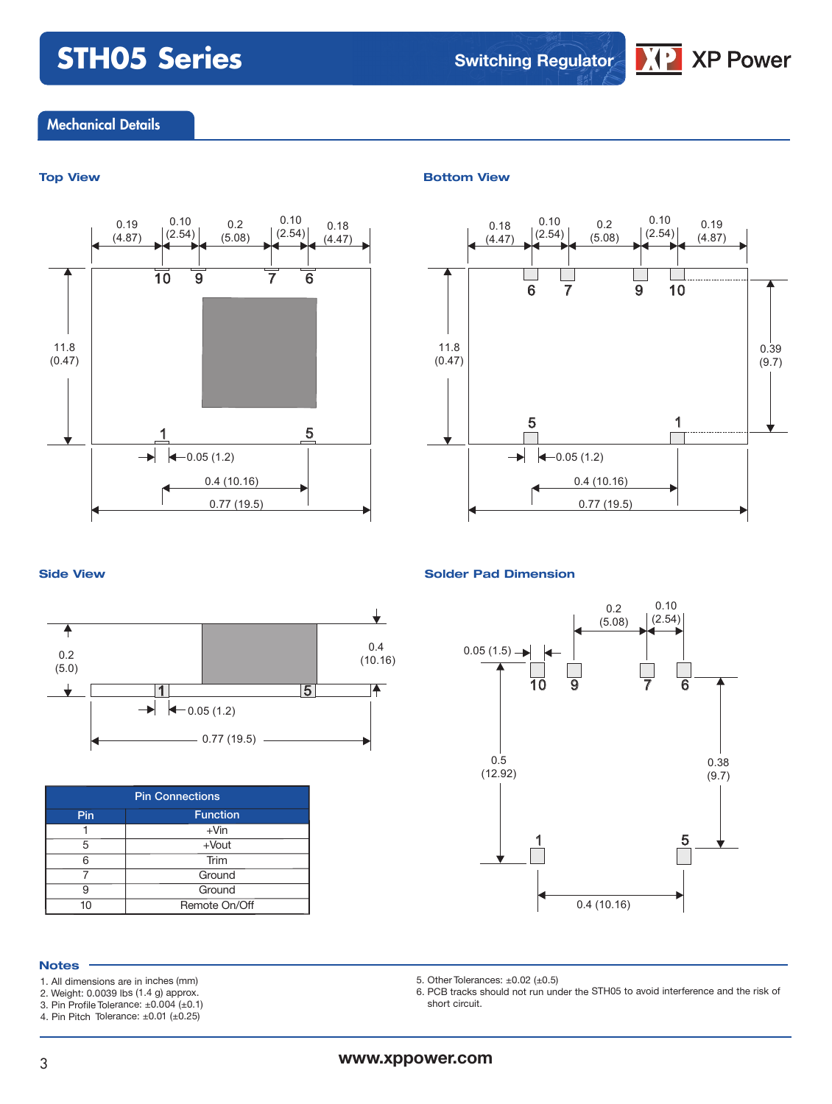**Switching Regulator**

### **XP Power**

#### Mechanical Details



#### **Top View Bottom View**



#### **Side View Solder Pad Dimension**





| <b>Pin Connections</b> |               |  |  |  |
|------------------------|---------------|--|--|--|
| <b>Function</b><br>Pin |               |  |  |  |
|                        | $+V$ in       |  |  |  |
| 5                      | $+$ Vout      |  |  |  |
| հ                      | Trim          |  |  |  |
|                        | Ground        |  |  |  |
| g                      | Ground        |  |  |  |
|                        | Remote On/Off |  |  |  |

#### **Notes**

- 1. All dimensions are in inches (mm)
- 2. Weight: 0.0039 lbs (1.4 g) approx. 3. Pin Profile Tolerance: ±0.004 (±0.1)
- 4. Pin Pitch Tolerance: ±0.01 (±0.25)
- 



5. Other Tolerances:  $\pm 0.02$  ( $\pm 0.5$ )

6. PCB tracks should not run under the STH05 to avoid interference and the risk of short circuit.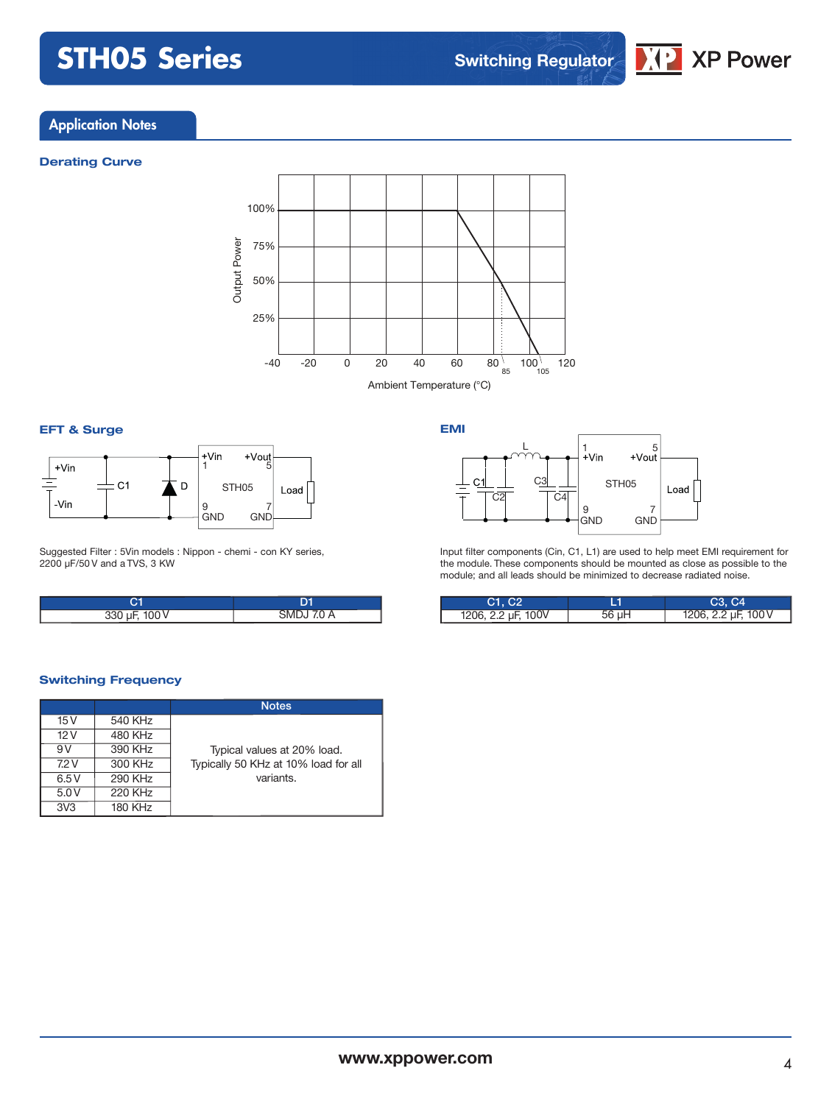

#### **Application Notes**

#### **Derating Curve**



#### **EFT & Surge**



Suggested Filter : 5Vin models : Nippon - chemi - con KY series, 2200 µF/50 V and a TVS, 3 KW

| 330 µF, 100 V | SMDJ 7.0 A |
|---------------|------------|



Input filter components (Cin, C1, L1) are used to help meet EMI requirement for the module. These components should be mounted as close as possible to the module; and all leads should be minimized to decrease radiated noise.

| C1. C2             |       | $\mathsf{C}3,\mathsf{C}4$ |
|--------------------|-------|---------------------------|
| 1206, 2.2 µF, 100V | 56 µH | 1206, 2.2 µF, 100 V       |

#### **Switching Frequency**

|                 |                | <b>Notes</b>                         |
|-----------------|----------------|--------------------------------------|
| 15V             | 540 KHz        |                                      |
| 12V             | 480 KHz        |                                      |
| 9V              | 390 KHz        | Typical values at 20% load.          |
| 7.2V            | 300 KHz        | Typically 50 KHz at 10% load for all |
| 6.5V            | 290 KHz        | variants.                            |
| 5.0V            | 220 KHz        |                                      |
| 3V <sub>3</sub> | <b>180 KHz</b> |                                      |